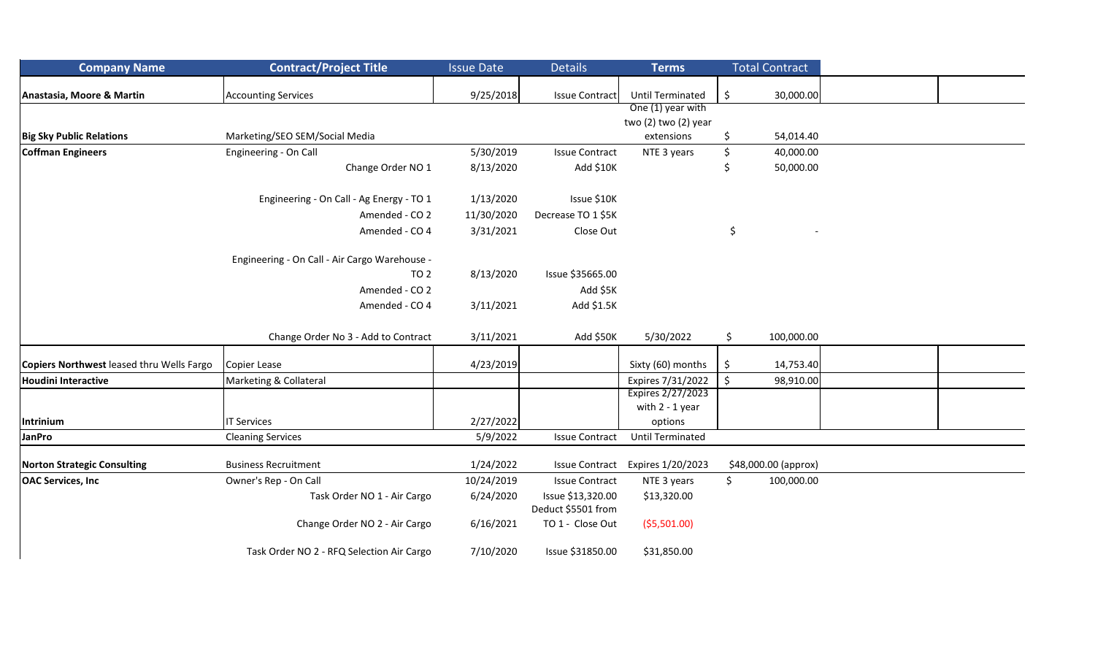| <b>Company Name</b>                       | <b>Contract/Project Title</b>                 | <b>Issue Date</b> | <b>Details</b>                          | <b>Terms</b>            | <b>Total Contract</b> |                      |  |
|-------------------------------------------|-----------------------------------------------|-------------------|-----------------------------------------|-------------------------|-----------------------|----------------------|--|
| Anastasia, Moore & Martin                 | <b>Accounting Services</b>                    | 9/25/2018         | <b>Issue Contract</b>                   | <b>Until Terminated</b> | \$                    | 30,000.00            |  |
|                                           |                                               |                   |                                         | One (1) year with       |                       |                      |  |
|                                           |                                               |                   |                                         | two (2) two (2) year    |                       |                      |  |
| <b>Big Sky Public Relations</b>           | Marketing/SEO SEM/Social Media                |                   |                                         | extensions              | \$                    | 54,014.40            |  |
| <b>Coffman Engineers</b>                  | Engineering - On Call                         | 5/30/2019         | <b>Issue Contract</b>                   | NTE 3 years             | \$                    | 40,000.00            |  |
|                                           | Change Order NO 1                             | 8/13/2020         | Add \$10K                               |                         | \$                    | 50,000.00            |  |
|                                           | Engineering - On Call - Ag Energy - TO 1      | 1/13/2020         | Issue \$10K                             |                         |                       |                      |  |
|                                           | Amended - CO 2                                | 11/30/2020        | Decrease TO 1 \$5K                      |                         |                       |                      |  |
|                                           | Amended - CO 4                                | 3/31/2021         | Close Out                               |                         | \$                    |                      |  |
|                                           | Engineering - On Call - Air Cargo Warehouse - |                   |                                         |                         |                       |                      |  |
|                                           | TO <sub>2</sub>                               | 8/13/2020         | Issue \$35665.00                        |                         |                       |                      |  |
|                                           | Amended - CO 2                                |                   | Add \$5K                                |                         |                       |                      |  |
|                                           | Amended - CO 4                                | 3/11/2021         | Add \$1.5K                              |                         |                       |                      |  |
|                                           | Change Order No 3 - Add to Contract           | 3/11/2021         | Add \$50K                               | 5/30/2022               | \$                    | 100,000.00           |  |
| Copiers Northwest leased thru Wells Fargo | Copier Lease                                  | 4/23/2019         |                                         | Sixty (60) months       | \$                    | 14,753.40            |  |
| <b>Houdini Interactive</b>                | Marketing & Collateral                        |                   |                                         | Expires 7/31/2022       | $\boldsymbol{\zeta}$  | 98,910.00            |  |
|                                           |                                               |                   |                                         | Expires 2/27/2023       |                       |                      |  |
|                                           |                                               |                   |                                         | with 2 - 1 year         |                       |                      |  |
| Intrinium                                 | <b>IT Services</b>                            | 2/27/2022         |                                         | options                 |                       |                      |  |
| JanPro                                    | <b>Cleaning Services</b>                      | 5/9/2022          | <b>Issue Contract</b>                   | <b>Until Terminated</b> |                       |                      |  |
| <b>Norton Strategic Consulting</b>        | <b>Business Recruitment</b>                   | 1/24/2022         | <b>Issue Contract</b>                   | Expires 1/20/2023       |                       | \$48,000.00 (approx) |  |
| <b>OAC Services, Inc</b>                  | Owner's Rep - On Call                         | 10/24/2019        | <b>Issue Contract</b>                   | NTE 3 years             | \$                    | 100,000.00           |  |
|                                           | Task Order NO 1 - Air Cargo                   | 6/24/2020         | Issue \$13,320.00<br>Deduct \$5501 from | \$13,320.00             |                       |                      |  |
|                                           | Change Order NO 2 - Air Cargo                 | 6/16/2021         | TO 1 - Close Out                        | (55,501.00)             |                       |                      |  |
|                                           | Task Order NO 2 - RFQ Selection Air Cargo     | 7/10/2020         | Issue \$31850.00                        | \$31,850.00             |                       |                      |  |